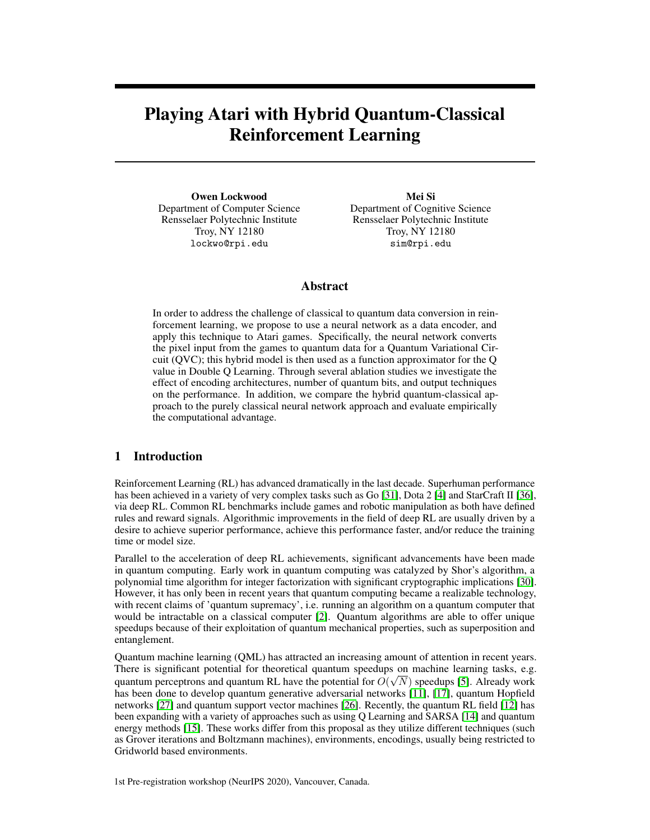# Playing Atari with Hybrid Quantum-Classical Reinforcement Learning

Owen Lockwood Department of Computer Science Rensselaer Polytechnic Institute Troy, NY 12180 lockwo@rpi.edu

Mei Si Department of Cognitive Science Rensselaer Polytechnic Institute Troy, NY 12180 sim@rpi.edu

# Abstract

In order to address the challenge of classical to quantum data conversion in reinforcement learning, we propose to use a neural network as a data encoder, and apply this technique to Atari games. Specifically, the neural network converts the pixel input from the games to quantum data for a Quantum Variational Circuit (QVC); this hybrid model is then used as a function approximator for the Q value in Double Q Learning. Through several ablation studies we investigate the effect of encoding architectures, number of quantum bits, and output techniques on the performance. In addition, we compare the hybrid quantum-classical approach to the purely classical neural network approach and evaluate empirically the computational advantage.

# 1 Introduction

Reinforcement Learning (RL) has advanced dramatically in the last decade. Superhuman performance has been achieved in a variety of very complex tasks such as Go [\[31\]](#page-7-0), Dota 2 [\[4\]](#page-6-0) and StarCraft II [\[36\]](#page-7-1), via deep RL. Common RL benchmarks include games and robotic manipulation as both have defined rules and reward signals. Algorithmic improvements in the field of deep RL are usually driven by a desire to achieve superior performance, achieve this performance faster, and/or reduce the training time or model size.

Parallel to the acceleration of deep RL achievements, significant advancements have been made in quantum computing. Early work in quantum computing was catalyzed by Shor's algorithm, a polynomial time algorithm for integer factorization with significant cryptographic implications [\[30\]](#page-7-2). However, it has only been in recent years that quantum computing became a realizable technology, with recent claims of 'quantum supremacy', i.e. running an algorithm on a quantum computer that would be intractable on a classical computer [\[2\]](#page-6-1). Quantum algorithms are able to offer unique speedups because of their exploitation of quantum mechanical properties, such as superposition and entanglement.

Quantum machine learning (QML) has attracted an increasing amount of attention in recent years. There is significant potential for theoretical quantum speedups on machine learning tasks, e.g. quantum perceptrons and quantum RL have the potential for  $O(\sqrt{N})$  speedups [\[5\]](#page-6-2). Already work has been done to develop quantum generative adversarial networks [\[11\]](#page-6-3), [\[17\]](#page-6-4), quantum Hopfield networks [\[27\]](#page-7-3) and quantum support vector machines [\[26\]](#page-7-4). Recently, the quantum RL field [\[12\]](#page-6-5) has been expanding with a variety of approaches such as using Q Learning and SARSA [\[14\]](#page-6-6) and quantum energy methods [\[15\]](#page-6-7). These works differ from this proposal as they utilize different techniques (such as Grover iterations and Boltzmann machines), environments, encodings, usually being restricted to Gridworld based environments.

1st Pre-registration workshop (NeurIPS 2020), Vancouver, Canada.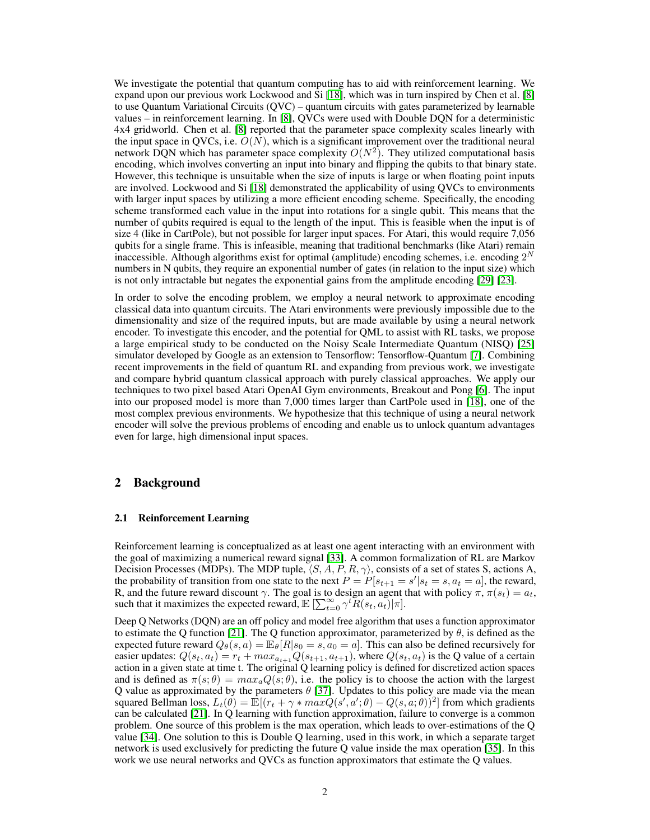We investigate the potential that quantum computing has to aid with reinforcement learning. We expand upon our previous work Lockwood and Si [\[18\]](#page-6-8), which was in turn inspired by Chen et al. [\[8\]](#page-6-9) to use Quantum Variational Circuits (QVC) – quantum circuits with gates parameterized by learnable values – in reinforcement learning. In [\[8\]](#page-6-9), QVCs were used with Double DQN for a deterministic 4x4 gridworld. Chen et al. [\[8\]](#page-6-9) reported that the parameter space complexity scales linearly with the input space in QVCs, i.e.  $O(N)$ , which is a significant improvement over the traditional neural network DQN which has parameter space complexity  $O(N^2)$ . They utilized computational basis encoding, which involves converting an input into binary and flipping the qubits to that binary state. However, this technique is unsuitable when the size of inputs is large or when floating point inputs are involved. Lockwood and Si [\[18\]](#page-6-8) demonstrated the applicability of using QVCs to environments with larger input spaces by utilizing a more efficient encoding scheme. Specifically, the encoding scheme transformed each value in the input into rotations for a single qubit. This means that the number of qubits required is equal to the length of the input. This is feasible when the input is of size 4 (like in CartPole), but not possible for larger input spaces. For Atari, this would require 7,056 qubits for a single frame. This is infeasible, meaning that traditional benchmarks (like Atari) remain inaccessible. Although algorithms exist for optimal (amplitude) encoding schemes, i.e. encoding  $2^N$ numbers in N qubits, they require an exponential number of gates (in relation to the input size) which is not only intractable but negates the exponential gains from the amplitude encoding [\[29\]](#page-7-5) [\[23\]](#page-7-6).

In order to solve the encoding problem, we employ a neural network to approximate encoding classical data into quantum circuits. The Atari environments were previously impossible due to the dimensionality and size of the required inputs, but are made available by using a neural network encoder. To investigate this encoder, and the potential for QML to assist with RL tasks, we propose a large empirical study to be conducted on the Noisy Scale Intermediate Quantum (NISQ) [\[25\]](#page-7-7) simulator developed by Google as an extension to Tensorflow: Tensorflow-Quantum [\[7\]](#page-6-10). Combining recent improvements in the field of quantum RL and expanding from previous work, we investigate and compare hybrid quantum classical approach with purely classical approaches. We apply our techniques to two pixel based Atari OpenAI Gym environments, Breakout and Pong [\[6\]](#page-6-11). The input into our proposed model is more than 7,000 times larger than CartPole used in [\[18\]](#page-6-8), one of the most complex previous environments. We hypothesize that this technique of using a neural network encoder will solve the previous problems of encoding and enable us to unlock quantum advantages even for large, high dimensional input spaces.

# 2 Background

#### 2.1 Reinforcement Learning

Reinforcement learning is conceptualized as at least one agent interacting with an environment with the goal of maximizing a numerical reward signal [\[33\]](#page-7-8). A common formalization of RL are Markov Decision Processes (MDPs). The MDP tuple,  $\langle S, A, P, R, \gamma \rangle$ , consists of a set of states S, actions A, the probability of transition from one state to the next  $P = P[s_{t+1} = s' | s_t = s, a_t = a]$ , the reward, R, and the future reward discount  $\gamma$ . The goal is to design an agent that with policy  $\pi$ ,  $\pi(s_t) = a_t$ , such that it maximizes the expected reward,  $\mathbb{E}\left[\sum_{t=0}^{\infty} \gamma^t \widetilde{R}(s_t, a_t)\big|\pi\right]$ .

Deep Q Networks (DQN) are an off policy and model free algorithm that uses a function approximator to estimate the Q function [\[21\]](#page-7-9). The Q function approximator, parameterized by  $\theta$ , is defined as the expected future reward  $Q_{\theta}(s, a) = \mathbb{E}_{\theta}[R|s_0 = s, a_0 = a]$ . This can also be defined recursively for easier updates:  $Q(s_t, a_t) = r_t + max_{a_{t+1}} Q(s_{t+1}, a_{t+1})$ , where  $Q(s_t, a_t)$  is the Q value of a certain action in a given state at time t. The original Q learning policy is defined for discretized action spaces and is defined as  $\pi(s; \theta) = max_a Q(s; \theta)$ , i.e. the policy is to choose the action with the largest Q value as approximated by the parameters  $\theta$  [\[37\]](#page-7-10). Updates to this policy are made via the mean squared Bellman loss,  $L_t(\theta) = \mathbb{E}[(r_t + \gamma * maxQ(s', a'; \theta) - Q(s, a; \theta))^2]$  from which gradients can be calculated [\[21\]](#page-7-9). In Q learning with function approximation, failure to converge is a common problem. One source of this problem is the max operation, which leads to over-estimations of the Q value [\[34\]](#page-7-11). One solution to this is Double Q learning, used in this work, in which a separate target network is used exclusively for predicting the future Q value inside the max operation [\[35\]](#page-7-12). In this work we use neural networks and QVCs as function approximators that estimate the Q values.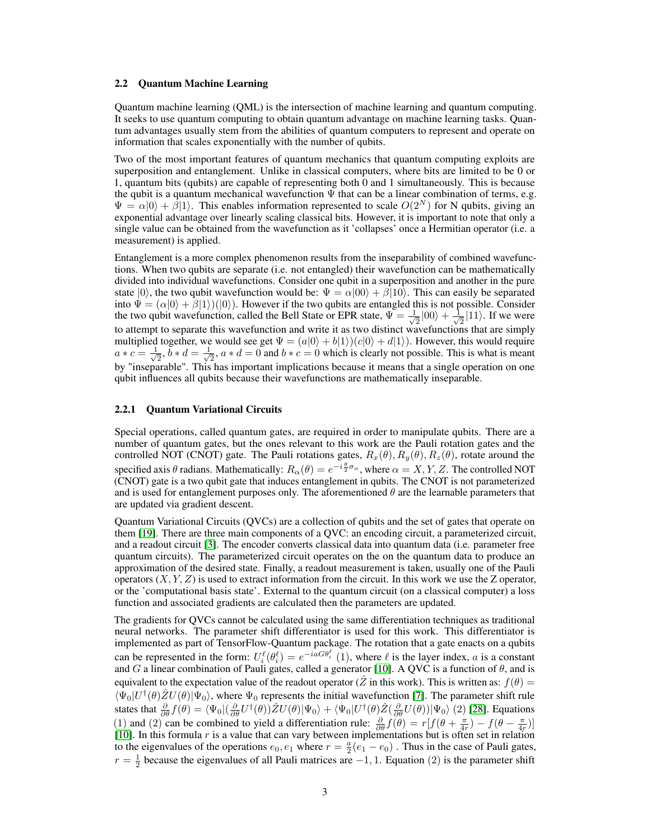#### 2.2 Quantum Machine Learning

Quantum machine learning (QML) is the intersection of machine learning and quantum computing. It seeks to use quantum computing to obtain quantum advantage on machine learning tasks. Quantum advantages usually stem from the abilities of quantum computers to represent and operate on information that scales exponentially with the number of qubits.

Two of the most important features of quantum mechanics that quantum computing exploits are superposition and entanglement. Unlike in classical computers, where bits are limited to be 0 or 1, quantum bits (qubits) are capable of representing both 0 and 1 simultaneously. This is because the qubit is a quantum mechanical wavefunction  $\Psi$  that can be a linear combination of terms, e.g.  $\Psi = \alpha |0\rangle + \beta |1\rangle$ . This enables information represented to scale  $O(2^N)$  for N qubits, giving an exponential advantage over linearly scaling classical bits. However, it is important to note that only a single value can be obtained from the wavefunction as it 'collapses' once a Hermitian operator (i.e. a measurement) is applied.

Entanglement is a more complex phenomenon results from the inseparability of combined wavefunctions. When two qubits are separate (i.e. not entangled) their wavefunction can be mathematically divided into individual wavefunctions. Consider one qubit in a superposition and another in the pure state  $|0\rangle$ , the two qubit wavefunction would be:  $\Psi = \alpha|00\rangle + \beta|10\rangle$ . This can easily be separated into  $\Psi = (\alpha|0\rangle + \beta|1\rangle)(|0\rangle)$ . However if the two qubits are entangled this is not possible. Consider the two qubit wavefunction, called the Bell State or EPR state,  $\Psi = \frac{1}{\sqrt{2}}$  $\frac{1}{2}|00\rangle + \frac{1}{\sqrt{2}}$  $\frac{1}{2}$ |11). If we were to attempt to separate this wavefunction and write it as two distinct wavefunctions that are simply multiplied together, we would see get  $\Psi = (a|0\rangle + b|1\rangle)(c|0\rangle + d|1\rangle)$ . However, this would require  $a * c = \frac{1}{\sqrt{2}}$  $\frac{1}{2}$ ,  $\overline{b} * d = \frac{1}{\sqrt{2}}$  $\overline{z}_2$ ,  $a * d = 0$  and  $b * c = 0$  which is clearly not possible. This is what is meant by "inseparable". This has important implications because it means that a single operation on one qubit influences all qubits because their wavefunctions are mathematically inseparable.

#### 2.2.1 Quantum Variational Circuits

Special operations, called quantum gates, are required in order to manipulate qubits. There are a number of quantum gates, but the ones relevant to this work are the Pauli rotation gates and the controlled NOT (CNOT) gate. The Pauli rotations gates,  $R_x(\theta), R_y(\theta), R_z(\theta)$ , rotate around the specified axis  $\theta$  radians. Mathematically:  $R_\alpha(\theta) = e^{-i\frac{\theta}{2}\sigma_\alpha}$ , where  $\alpha = X, Y, Z$ . The controlled NOT (CNOT) gate is a two qubit gate that induces entanglement in qubits. The CNOT is not parameterized and is used for entanglement purposes only. The aforementioned  $\theta$  are the learnable parameters that are updated via gradient descent.

Quantum Variational Circuits (QVCs) are a collection of qubits and the set of gates that operate on them [\[19\]](#page-6-12). There are three main components of a QVC: an encoding circuit, a parameterized circuit, and a readout circuit [\[3\]](#page-6-13). The encoder converts classical data into quantum data (i.e. parameter free quantum circuits). The parameterized circuit operates on the on the quantum data to produce an approximation of the desired state. Finally, a readout measurement is taken, usually one of the Pauli operators  $(X, Y, Z)$  is used to extract information from the circuit. In this work we use the Z operator, or the 'computational basis state'. External to the quantum circuit (on a classical computer) a loss function and associated gradients are calculated then the parameters are updated.

The gradients for QVCs cannot be calculated using the same differentiation techniques as traditional neural networks. The parameter shift differentiator is used for this work. This differentiator is implemented as part of TensorFlow-Quantum package. The rotation that a gate enacts on a qubits can be represented in the form:  $U_i^{\ell}(\theta_i^{\ell}) = e^{-iaG\theta_i^{\ell}}$  (1), where  $\ell$  is the layer index, a is a constant and G a linear combination of Pauli gates, called a generator [\[10\]](#page-6-14). A QVC is a function of  $\theta$ , and is equivalent to the expectation value of the readout operator (Z in this work). This is written as:  $f(\theta)$  =  $\langle \Psi_0|U^{\dagger}(\theta)\hat{Z}U(\theta)|\Psi_0\rangle$ , where  $\Psi_0$  represents the initial wavefunction [\[7\]](#page-6-10). The parameter shift rule states that  $\frac{\partial}{\partial \theta} f(\theta) = \langle \Psi_0 | (\frac{\partial}{\partial \theta} U^{\dagger}(\theta)) \hat{Z} U(\theta) | \Psi_0 \rangle + \langle \Psi_0 | U^{\dagger}(\theta) \hat{Z} (\frac{\partial}{\partial \theta} U(\theta)) | \Psi_0 \rangle$  (2) [\[28\]](#page-7-13). Equations (1) and (2) can be combined to yield a differentiation rule:  $\frac{\partial}{\partial \theta} f(\theta) = r[f(\theta + \frac{\pi}{4r}) - f(\theta - \frac{\pi}{4r})]$ [\[10\]](#page-6-14). In this formula  $r$  is a value that can vary between implementations but is often set in relation to the eigenvalues of the operations  $e_0, e_1$  where  $r = \frac{a}{2}(e_1 - e_0)$ . Thus in the case of Pauli gates,  $r = \frac{1}{2}$  because the eigenvalues of all Pauli matrices are  $-1, 1$ . Equation (2) is the parameter shift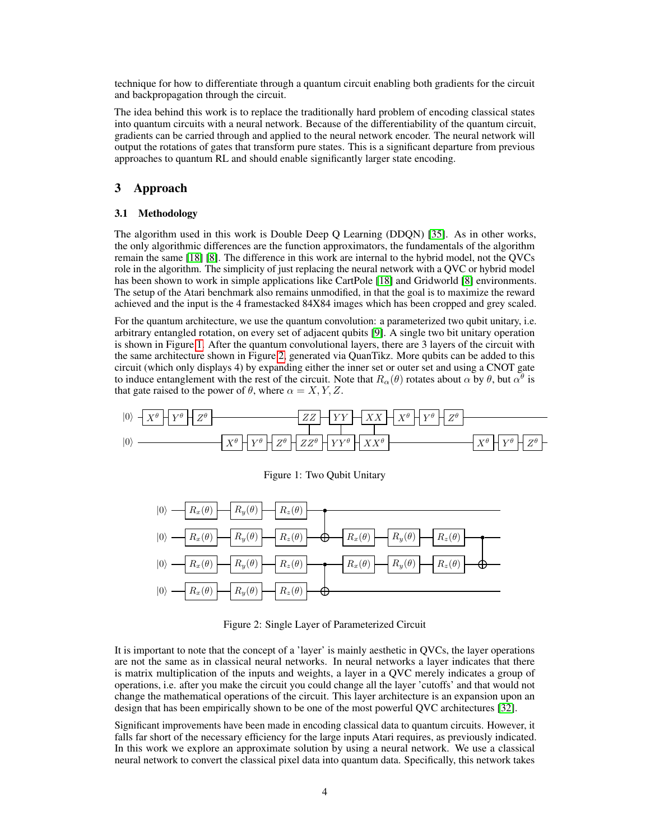technique for how to differentiate through a quantum circuit enabling both gradients for the circuit and backpropagation through the circuit.

The idea behind this work is to replace the traditionally hard problem of encoding classical states into quantum circuits with a neural network. Because of the differentiability of the quantum circuit, gradients can be carried through and applied to the neural network encoder. The neural network will output the rotations of gates that transform pure states. This is a significant departure from previous approaches to quantum RL and should enable significantly larger state encoding.

# 3 Approach

#### <span id="page-3-2"></span>3.1 Methodology

The algorithm used in this work is Double Deep Q Learning (DDQN) [\[35\]](#page-7-12). As in other works, the only algorithmic differences are the function approximators, the fundamentals of the algorithm remain the same [\[18\]](#page-6-8) [\[8\]](#page-6-9). The difference in this work are internal to the hybrid model, not the QVCs role in the algorithm. The simplicity of just replacing the neural network with a QVC or hybrid model has been shown to work in simple applications like CartPole [\[18\]](#page-6-8) and Gridworld [\[8\]](#page-6-9) environments. The setup of the Atari benchmark also remains unmodified, in that the goal is to maximize the reward achieved and the input is the 4 framestacked 84X84 images which has been cropped and grey scaled.

For the quantum architecture, we use the quantum convolution: a parameterized two qubit unitary, i.e. arbitrary entangled rotation, on every set of adjacent qubits [\[9\]](#page-6-15). A single two bit unitary operation is shown in Figure [1.](#page-3-0) After the quantum convolutional layers, there are 3 layers of the circuit with the same architecture shown in Figure [2,](#page-3-1) generated via QuanTikz. More qubits can be added to this circuit (which only displays 4) by expanding either the inner set or outer set and using a CNOT gate to induce entanglement with the rest of the circuit. Note that  $R_\alpha(\theta)$  rotates about  $\alpha$  by  $\theta$ , but  $\alpha^{\theta}$  is that gate raised to the power of  $\theta$ , where  $\alpha = X, Y, Z$ .

<span id="page-3-0"></span>

Figure 1: Two Qubit Unitary

<span id="page-3-1"></span>

Figure 2: Single Layer of Parameterized Circuit

It is important to note that the concept of a 'layer' is mainly aesthetic in QVCs, the layer operations are not the same as in classical neural networks. In neural networks a layer indicates that there is matrix multiplication of the inputs and weights, a layer in a QVC merely indicates a group of operations, i.e. after you make the circuit you could change all the layer 'cutoffs' and that would not change the mathematical operations of the circuit. This layer architecture is an expansion upon an design that has been empirically shown to be one of the most powerful QVC architectures [\[32\]](#page-7-14).

Significant improvements have been made in encoding classical data to quantum circuits. However, it falls far short of the necessary efficiency for the large inputs Atari requires, as previously indicated. In this work we explore an approximate solution by using a neural network. We use a classical neural network to convert the classical pixel data into quantum data. Specifically, this network takes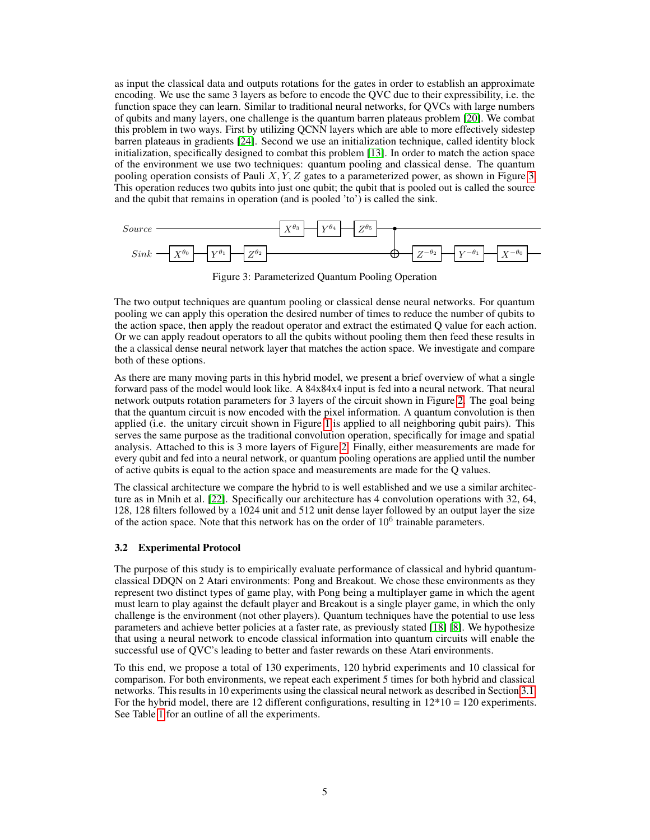as input the classical data and outputs rotations for the gates in order to establish an approximate encoding. We use the same 3 layers as before to encode the QVC due to their expressibility, i.e. the function space they can learn. Similar to traditional neural networks, for QVCs with large numbers of qubits and many layers, one challenge is the quantum barren plateaus problem [\[20\]](#page-6-16). We combat this problem in two ways. First by utilizing QCNN layers which are able to more effectively sidestep barren plateaus in gradients [\[24\]](#page-7-15). Second we use an initialization technique, called identity block initialization, specifically designed to combat this problem [\[13\]](#page-6-17). In order to match the action space of the environment we use two techniques: quantum pooling and classical dense. The quantum pooling operation consists of Pauli  $X, Y, Z$  gates to a parameterized power, as shown in Figure [3.](#page-4-0) This operation reduces two qubits into just one qubit; the qubit that is pooled out is called the source and the qubit that remains in operation (and is pooled 'to') is called the sink.

<span id="page-4-0"></span>

Figure 3: Parameterized Quantum Pooling Operation

The two output techniques are quantum pooling or classical dense neural networks. For quantum pooling we can apply this operation the desired number of times to reduce the number of qubits to the action space, then apply the readout operator and extract the estimated Q value for each action. Or we can apply readout operators to all the qubits without pooling them then feed these results in the a classical dense neural network layer that matches the action space. We investigate and compare both of these options.

As there are many moving parts in this hybrid model, we present a brief overview of what a single forward pass of the model would look like. A 84x84x4 input is fed into a neural network. That neural network outputs rotation parameters for 3 layers of the circuit shown in Figure [2.](#page-3-1) The goal being that the quantum circuit is now encoded with the pixel information. A quantum convolution is then applied (i.e. the unitary circuit shown in Figure [1](#page-3-0) is applied to all neighboring qubit pairs). This serves the same purpose as the traditional convolution operation, specifically for image and spatial analysis. Attached to this is 3 more layers of Figure [2.](#page-3-1) Finally, either measurements are made for every qubit and fed into a neural network, or quantum pooling operations are applied until the number of active qubits is equal to the action space and measurements are made for the Q values.

The classical architecture we compare the hybrid to is well established and we use a similar architecture as in Mnih et al. [\[22\]](#page-7-16). Specifically our architecture has 4 convolution operations with 32, 64, 128, 128 filters followed by a 1024 unit and 512 unit dense layer followed by an output layer the size of the action space. Note that this network has on the order of  $10<sup>6</sup>$  trainable parameters.

### 3.2 Experimental Protocol

The purpose of this study is to empirically evaluate performance of classical and hybrid quantumclassical DDQN on 2 Atari environments: Pong and Breakout. We chose these environments as they represent two distinct types of game play, with Pong being a multiplayer game in which the agent must learn to play against the default player and Breakout is a single player game, in which the only challenge is the environment (not other players). Quantum techniques have the potential to use less parameters and achieve better policies at a faster rate, as previously stated [\[18\]](#page-6-8) [\[8\]](#page-6-9). We hypothesize that using a neural network to encode classical information into quantum circuits will enable the successful use of QVC's leading to better and faster rewards on these Atari environments.

To this end, we propose a total of 130 experiments, 120 hybrid experiments and 10 classical for comparison. For both environments, we repeat each experiment 5 times for both hybrid and classical networks. This results in 10 experiments using the classical neural network as described in Section [3.1.](#page-3-2) For the hybrid model, there are 12 different configurations, resulting in  $12*10 = 120$  experiments. See Table [1](#page-5-0) for an outline of all the experiments.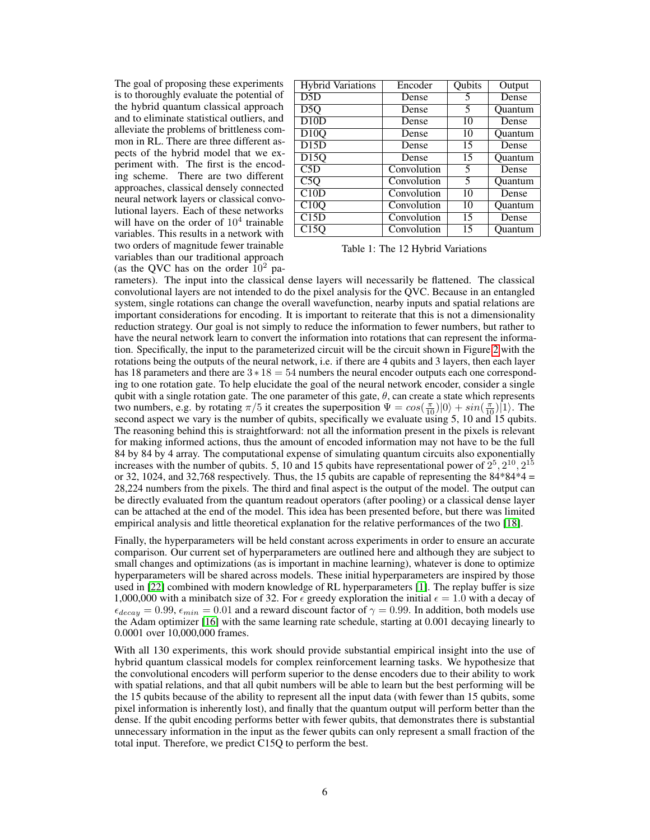The goal of proposing these experiments is to thoroughly evaluate the potential of the hybrid quantum classical approach and to eliminate statistical outliers, and alleviate the problems of brittleness common in RL. There are three different aspects of the hybrid model that we experiment with. The first is the encoding scheme. There are two different approaches, classical densely connected neural network layers or classical convolutional layers. Each of these networks will have on the order of  $10<sup>4</sup>$  trainable variables. This results in a network with two orders of magnitude fewer trainable variables than our traditional approach (as the QVC has on the order  $10^2$  pa-

<span id="page-5-0"></span>

| <b>Hybrid Variations</b> | Encoder     | Qubits | Output         |
|--------------------------|-------------|--------|----------------|
| D5D                      | Dense       | 5      | Dense          |
| D <sub>5</sub> Q         | Dense       | 5      | <b>Ouantum</b> |
| D10D                     | Dense       | 10     | Dense          |
| D10Q                     | Dense       | 10     | Quantum        |
| D15D                     | Dense       | 15     | Dense          |
| D <sub>15</sub> Q        | Dense       | 15     | Ouantum        |
| C5D                      | Convolution | 5      | Dense          |
| $\overline{C5Q}$         | Convolution | 5      | <b>Ouantum</b> |
| C10D                     | Convolution | 10     | Dense          |
| C10Q                     | Convolution | 10     | Ouantum        |
| C15D                     | Convolution | 15     | Dense          |
| $\overline{C}$ 15Q       | Convolution | 15     | Ouantum        |

Table 1: The 12 Hybrid Variations

rameters). The input into the classical dense layers will necessarily be flattened. The classical convolutional layers are not intended to do the pixel analysis for the QVC. Because in an entangled system, single rotations can change the overall wavefunction, nearby inputs and spatial relations are important considerations for encoding. It is important to reiterate that this is not a dimensionality reduction strategy. Our goal is not simply to reduce the information to fewer numbers, but rather to have the neural network learn to convert the information into rotations that can represent the information. Specifically, the input to the parameterized circuit will be the circuit shown in Figure [2](#page-3-1) with the rotations being the outputs of the neural network, i.e. if there are 4 qubits and 3 layers, then each layer has 18 parameters and there are  $3 \times 18 = 54$  numbers the neural encoder outputs each one corresponding to one rotation gate. To help elucidate the goal of the neural network encoder, consider a single qubit with a single rotation gate. The one parameter of this gate,  $\theta$ , can create a state which represents two numbers, e.g. by rotating  $\pi/5$  it creates the superposition  $\Psi = cos(\frac{\pi}{10})|0\rangle + sin(\frac{\pi}{10})|1\rangle$ . The second aspect we vary is the number of qubits, specifically we evaluate using 5, 10 and 15 qubits. The reasoning behind this is straightforward: not all the information present in the pixels is relevant for making informed actions, thus the amount of encoded information may not have to be the full 84 by 84 by 4 array. The computational expense of simulating quantum circuits also exponentially increases with the number of qubits. 5, 10 and 15 qubits have representational power of  $2^5$ ,  $2^{10}$ ,  $2^{15}$ or 32, 1024, and 32,768 respectively. Thus, the 15 qubits are capable of representing the  $84*84*4 =$ 28,224 numbers from the pixels. The third and final aspect is the output of the model. The output can be directly evaluated from the quantum readout operators (after pooling) or a classical dense layer can be attached at the end of the model. This idea has been presented before, but there was limited empirical analysis and little theoretical explanation for the relative performances of the two [\[18\]](#page-6-8).

Finally, the hyperparameters will be held constant across experiments in order to ensure an accurate comparison. Our current set of hyperparameters are outlined here and although they are subject to small changes and optimizations (as is important in machine learning), whatever is done to optimize hyperparameters will be shared across models. These initial hyperparameters are inspired by those used in [\[22\]](#page-7-16) combined with modern knowledge of RL hyperparameters [\[1\]](#page-6-18). The replay buffer is size 1,000,000 with a minibatch size of 32. For  $\epsilon$  greedy exploration the initial  $\epsilon = 1.0$  with a decay of  $\epsilon_{decay} = 0.99, \epsilon_{min} = 0.01$  and a reward discount factor of  $\gamma = 0.99$ . In addition, both models use the Adam optimizer [\[16\]](#page-6-19) with the same learning rate schedule, starting at 0.001 decaying linearly to 0.0001 over 10,000,000 frames.

With all 130 experiments, this work should provide substantial empirical insight into the use of hybrid quantum classical models for complex reinforcement learning tasks. We hypothesize that the convolutional encoders will perform superior to the dense encoders due to their ability to work with spatial relations, and that all qubit numbers will be able to learn but the best performing will be the 15 qubits because of the ability to represent all the input data (with fewer than 15 qubits, some pixel information is inherently lost), and finally that the quantum output will perform better than the dense. If the qubit encoding performs better with fewer qubits, that demonstrates there is substantial unnecessary information in the input as the fewer qubits can only represent a small fraction of the total input. Therefore, we predict C15Q to perform the best.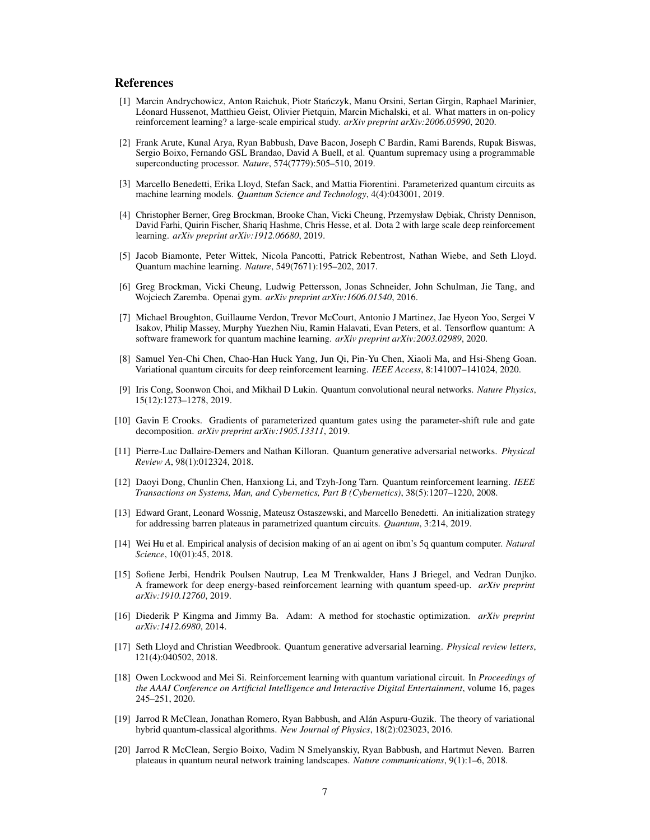#### References

- <span id="page-6-18"></span>[1] Marcin Andrychowicz, Anton Raichuk, Piotr Stanczyk, Manu Orsini, Sertan Girgin, Raphael Marinier, ´ Léonard Hussenot, Matthieu Geist, Olivier Pietquin, Marcin Michalski, et al. What matters in on-policy reinforcement learning? a large-scale empirical study. *arXiv preprint arXiv:2006.05990*, 2020.
- <span id="page-6-1"></span>[2] Frank Arute, Kunal Arya, Ryan Babbush, Dave Bacon, Joseph C Bardin, Rami Barends, Rupak Biswas, Sergio Boixo, Fernando GSL Brandao, David A Buell, et al. Quantum supremacy using a programmable superconducting processor. *Nature*, 574(7779):505–510, 2019.
- <span id="page-6-13"></span>[3] Marcello Benedetti, Erika Lloyd, Stefan Sack, and Mattia Fiorentini. Parameterized quantum circuits as machine learning models. *Quantum Science and Technology*, 4(4):043001, 2019.
- <span id="page-6-0"></span>[4] Christopher Berner, Greg Brockman, Brooke Chan, Vicki Cheung, Przemysław D˛ebiak, Christy Dennison, David Farhi, Quirin Fischer, Shariq Hashme, Chris Hesse, et al. Dota 2 with large scale deep reinforcement learning. *arXiv preprint arXiv:1912.06680*, 2019.
- <span id="page-6-2"></span>[5] Jacob Biamonte, Peter Wittek, Nicola Pancotti, Patrick Rebentrost, Nathan Wiebe, and Seth Lloyd. Quantum machine learning. *Nature*, 549(7671):195–202, 2017.
- <span id="page-6-11"></span>[6] Greg Brockman, Vicki Cheung, Ludwig Pettersson, Jonas Schneider, John Schulman, Jie Tang, and Wojciech Zaremba. Openai gym. *arXiv preprint arXiv:1606.01540*, 2016.
- <span id="page-6-10"></span>[7] Michael Broughton, Guillaume Verdon, Trevor McCourt, Antonio J Martinez, Jae Hyeon Yoo, Sergei V Isakov, Philip Massey, Murphy Yuezhen Niu, Ramin Halavati, Evan Peters, et al. Tensorflow quantum: A software framework for quantum machine learning. *arXiv preprint arXiv:2003.02989*, 2020.
- <span id="page-6-9"></span>[8] Samuel Yen-Chi Chen, Chao-Han Huck Yang, Jun Qi, Pin-Yu Chen, Xiaoli Ma, and Hsi-Sheng Goan. Variational quantum circuits for deep reinforcement learning. *IEEE Access*, 8:141007–141024, 2020.
- <span id="page-6-15"></span>[9] Iris Cong, Soonwon Choi, and Mikhail D Lukin. Quantum convolutional neural networks. *Nature Physics*, 15(12):1273–1278, 2019.
- <span id="page-6-14"></span>[10] Gavin E Crooks. Gradients of parameterized quantum gates using the parameter-shift rule and gate decomposition. *arXiv preprint arXiv:1905.13311*, 2019.
- <span id="page-6-3"></span>[11] Pierre-Luc Dallaire-Demers and Nathan Killoran. Quantum generative adversarial networks. *Physical Review A*, 98(1):012324, 2018.
- <span id="page-6-5"></span>[12] Daoyi Dong, Chunlin Chen, Hanxiong Li, and Tzyh-Jong Tarn. Quantum reinforcement learning. *IEEE Transactions on Systems, Man, and Cybernetics, Part B (Cybernetics)*, 38(5):1207–1220, 2008.
- <span id="page-6-17"></span>[13] Edward Grant, Leonard Wossnig, Mateusz Ostaszewski, and Marcello Benedetti. An initialization strategy for addressing barren plateaus in parametrized quantum circuits. *Quantum*, 3:214, 2019.
- <span id="page-6-6"></span>[14] Wei Hu et al. Empirical analysis of decision making of an ai agent on ibm's 5q quantum computer. *Natural Science*, 10(01):45, 2018.
- <span id="page-6-7"></span>[15] Sofiene Jerbi, Hendrik Poulsen Nautrup, Lea M Trenkwalder, Hans J Briegel, and Vedran Dunjko. A framework for deep energy-based reinforcement learning with quantum speed-up. *arXiv preprint arXiv:1910.12760*, 2019.
- <span id="page-6-19"></span>[16] Diederik P Kingma and Jimmy Ba. Adam: A method for stochastic optimization. *arXiv preprint arXiv:1412.6980*, 2014.
- <span id="page-6-4"></span>[17] Seth Lloyd and Christian Weedbrook. Quantum generative adversarial learning. *Physical review letters*, 121(4):040502, 2018.
- <span id="page-6-8"></span>[18] Owen Lockwood and Mei Si. Reinforcement learning with quantum variational circuit. In *Proceedings of the AAAI Conference on Artificial Intelligence and Interactive Digital Entertainment*, volume 16, pages 245–251, 2020.
- <span id="page-6-12"></span>[19] Jarrod R McClean, Jonathan Romero, Ryan Babbush, and Alán Aspuru-Guzik. The theory of variational hybrid quantum-classical algorithms. *New Journal of Physics*, 18(2):023023, 2016.
- <span id="page-6-16"></span>[20] Jarrod R McClean, Sergio Boixo, Vadim N Smelyanskiy, Ryan Babbush, and Hartmut Neven. Barren plateaus in quantum neural network training landscapes. *Nature communications*, 9(1):1–6, 2018.